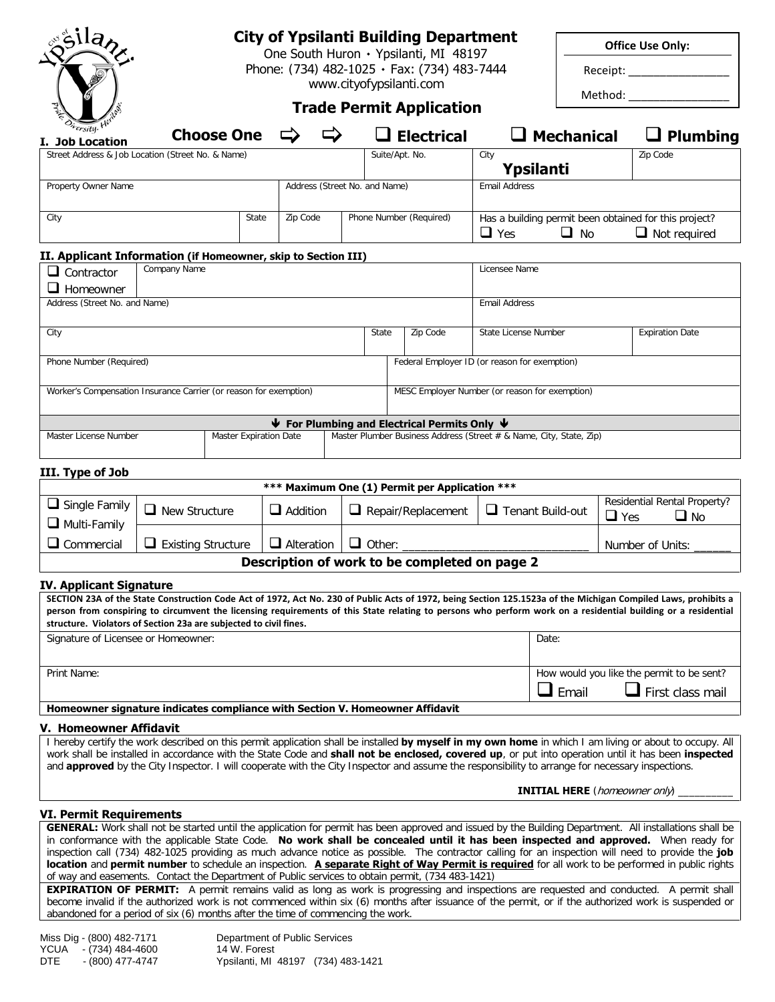|                                                                                                                                                                                   |                           |                               |                                                                                      |  |                | <b>City of Ypsilanti Building Department</b>                                                                                                    |                      |                                                                    |            | <b>Office Use Only:</b>                                                                                                                                                                                                                                                                                                                                                                                                                                                                                                                                                                               |  |
|-----------------------------------------------------------------------------------------------------------------------------------------------------------------------------------|---------------------------|-------------------------------|--------------------------------------------------------------------------------------|--|----------------|-------------------------------------------------------------------------------------------------------------------------------------------------|----------------------|--------------------------------------------------------------------|------------|-------------------------------------------------------------------------------------------------------------------------------------------------------------------------------------------------------------------------------------------------------------------------------------------------------------------------------------------------------------------------------------------------------------------------------------------------------------------------------------------------------------------------------------------------------------------------------------------------------|--|
|                                                                                                                                                                                   |                           |                               | One South Huron · Ypsilanti, MI 48197<br>Phone: (734) 482-1025 · Fax: (734) 483-7444 |  |                |                                                                                                                                                 |                      | Receipt: _________________                                         |            |                                                                                                                                                                                                                                                                                                                                                                                                                                                                                                                                                                                                       |  |
| www.cityofypsilanti.com                                                                                                                                                           |                           |                               |                                                                                      |  |                |                                                                                                                                                 |                      |                                                                    |            | Method:                                                                                                                                                                                                                                                                                                                                                                                                                                                                                                                                                                                               |  |
|                                                                                                                                                                                   |                           |                               |                                                                                      |  |                | <b>Trade Permit Application</b>                                                                                                                 |                      |                                                                    |            |                                                                                                                                                                                                                                                                                                                                                                                                                                                                                                                                                                                                       |  |
| rersity. H<br>I. Job Location                                                                                                                                                     |                           | <b>Choose One</b>             |                                                                                      |  |                | $\square$ Electrical                                                                                                                            |                      | $\Box$ Mechanical                                                  |            | $\Box$ Plumbing                                                                                                                                                                                                                                                                                                                                                                                                                                                                                                                                                                                       |  |
| Street Address & Job Location (Street No. & Name)                                                                                                                                 |                           |                               |                                                                                      |  | Suite/Apt. No. |                                                                                                                                                 | City                 | Ypsilanti                                                          |            | Zip Code                                                                                                                                                                                                                                                                                                                                                                                                                                                                                                                                                                                              |  |
| Property Owner Name                                                                                                                                                               |                           |                               | Address (Street No. and Name)                                                        |  |                |                                                                                                                                                 | <b>Email Address</b> |                                                                    |            |                                                                                                                                                                                                                                                                                                                                                                                                                                                                                                                                                                                                       |  |
| City                                                                                                                                                                              | State                     |                               | Zip Code                                                                             |  |                | Phone Number (Required)<br>$\Box$ Yes                                                                                                           |                      | Has a building permit been obtained for this project?<br>$\Box$ No |            | $\Box$ Not required                                                                                                                                                                                                                                                                                                                                                                                                                                                                                                                                                                                   |  |
| II. Applicant Information (if Homeowner, skip to Section III)                                                                                                                     |                           |                               |                                                                                      |  |                |                                                                                                                                                 |                      |                                                                    |            |                                                                                                                                                                                                                                                                                                                                                                                                                                                                                                                                                                                                       |  |
| $\Box$ Contractor<br>$\Box$ Homeowner                                                                                                                                             | Company Name              |                               |                                                                                      |  |                |                                                                                                                                                 | Licensee Name        |                                                                    |            |                                                                                                                                                                                                                                                                                                                                                                                                                                                                                                                                                                                                       |  |
| Address (Street No. and Name)                                                                                                                                                     |                           |                               |                                                                                      |  |                |                                                                                                                                                 | <b>Email Address</b> |                                                                    |            |                                                                                                                                                                                                                                                                                                                                                                                                                                                                                                                                                                                                       |  |
| City                                                                                                                                                                              |                           |                               |                                                                                      |  | State          | Zip Code                                                                                                                                        | State License Number |                                                                    |            | <b>Expiration Date</b>                                                                                                                                                                                                                                                                                                                                                                                                                                                                                                                                                                                |  |
| Phone Number (Required)                                                                                                                                                           |                           |                               |                                                                                      |  |                | Federal Employer ID (or reason for exemption)                                                                                                   |                      |                                                                    |            |                                                                                                                                                                                                                                                                                                                                                                                                                                                                                                                                                                                                       |  |
| Worker's Compensation Insurance Carrier (or reason for exemption)                                                                                                                 |                           |                               |                                                                                      |  |                | MESC Employer Number (or reason for exemption)                                                                                                  |                      |                                                                    |            |                                                                                                                                                                                                                                                                                                                                                                                                                                                                                                                                                                                                       |  |
|                                                                                                                                                                                   |                           |                               |                                                                                      |  |                |                                                                                                                                                 |                      |                                                                    |            |                                                                                                                                                                                                                                                                                                                                                                                                                                                                                                                                                                                                       |  |
| Master License Number                                                                                                                                                             |                           | <b>Master Expiration Date</b> |                                                                                      |  |                | $\blacklozenge$ For Plumbing and Electrical Permits Only $\blacklozenge$<br>Master Plumber Business Address (Street # & Name, City, State, Zip) |                      |                                                                    |            |                                                                                                                                                                                                                                                                                                                                                                                                                                                                                                                                                                                                       |  |
|                                                                                                                                                                                   |                           |                               |                                                                                      |  |                |                                                                                                                                                 |                      |                                                                    |            |                                                                                                                                                                                                                                                                                                                                                                                                                                                                                                                                                                                                       |  |
| III. Type of Job                                                                                                                                                                  |                           |                               |                                                                                      |  |                |                                                                                                                                                 |                      |                                                                    |            |                                                                                                                                                                                                                                                                                                                                                                                                                                                                                                                                                                                                       |  |
|                                                                                                                                                                                   |                           |                               |                                                                                      |  |                | *** Maximum One (1) Permit per Application ***                                                                                                  |                      |                                                                    |            |                                                                                                                                                                                                                                                                                                                                                                                                                                                                                                                                                                                                       |  |
| $\Box$ Single Family<br>$\Box$ Multi-Family                                                                                                                                       | $\Box$ New Structure      |                               | $\Box$ Addition                                                                      |  |                | $\Box$ Repair/Replacement<br>$\Box$ Tenant Build-out                                                                                            |                      |                                                                    | $\Box$ Yes | Residential Rental Property?<br>$\Box$ No                                                                                                                                                                                                                                                                                                                                                                                                                                                                                                                                                             |  |
| $\Box$ Commercial                                                                                                                                                                 | $\Box$ Existing Structure |                               | $\Box$ Alteration                                                                    |  | $\Box$ Other:  |                                                                                                                                                 |                      |                                                                    |            | Number of Units:                                                                                                                                                                                                                                                                                                                                                                                                                                                                                                                                                                                      |  |
|                                                                                                                                                                                   |                           |                               |                                                                                      |  |                | Description of work to be completed on page 2                                                                                                   |                      |                                                                    |            |                                                                                                                                                                                                                                                                                                                                                                                                                                                                                                                                                                                                       |  |
| <b>IV. Applicant Signature</b><br>structure. Violators of Section 23a are subjected to civil fines.                                                                               |                           |                               |                                                                                      |  |                |                                                                                                                                                 |                      |                                                                    |            | SECTION 23A of the State Construction Code Act of 1972, Act No. 230 of Public Acts of 1972, being Section 125.1523a of the Michigan Compiled Laws, prohibits a<br>person from conspiring to circumvent the licensing requirements of this State relating to persons who perform work on a residential building or a residential                                                                                                                                                                                                                                                                       |  |
| Signature of Licensee or Homeowner:                                                                                                                                               |                           |                               |                                                                                      |  |                |                                                                                                                                                 |                      | Date:                                                              |            |                                                                                                                                                                                                                                                                                                                                                                                                                                                                                                                                                                                                       |  |
| Print Name:                                                                                                                                                                       |                           |                               |                                                                                      |  |                |                                                                                                                                                 |                      |                                                                    |            | How would you like the permit to be sent?                                                                                                                                                                                                                                                                                                                                                                                                                                                                                                                                                             |  |
|                                                                                                                                                                                   |                           |                               |                                                                                      |  |                |                                                                                                                                                 |                      | $\Box$ Email                                                       |            | $\Box$ First class mail                                                                                                                                                                                                                                                                                                                                                                                                                                                                                                                                                                               |  |
| Homeowner signature indicates compliance with Section V. Homeowner Affidavit                                                                                                      |                           |                               |                                                                                      |  |                |                                                                                                                                                 |                      |                                                                    |            |                                                                                                                                                                                                                                                                                                                                                                                                                                                                                                                                                                                                       |  |
| V. Homeowner Affidavit<br>and <b>approved</b> by the City Inspector. I will cooperate with the City Inspector and assume the responsibility to arrange for necessary inspections. |                           |                               |                                                                                      |  |                |                                                                                                                                                 |                      |                                                                    |            | I hereby certify the work described on this permit application shall be installed by myself in my own home in which I am living or about to occupy. All<br>work shall be installed in accordance with the State Code and <b>shall not be enclosed, covered up</b> , or put into operation until it has been <b>inspected</b>                                                                                                                                                                                                                                                                          |  |
|                                                                                                                                                                                   |                           |                               |                                                                                      |  |                |                                                                                                                                                 |                      | <b>INITIAL HERE</b> (homeowner only)                               |            |                                                                                                                                                                                                                                                                                                                                                                                                                                                                                                                                                                                                       |  |
| VI. Permit Requirements                                                                                                                                                           |                           |                               |                                                                                      |  |                |                                                                                                                                                 |                      |                                                                    |            |                                                                                                                                                                                                                                                                                                                                                                                                                                                                                                                                                                                                       |  |
|                                                                                                                                                                                   |                           |                               |                                                                                      |  |                |                                                                                                                                                 |                      |                                                                    |            | GENERAL: Work shall not be started until the application for permit has been approved and issued by the Building Department. All installations shall be<br>in conformance with the applicable State Code. No work shall be concealed until it has been inspected and approved. When ready for<br>inspection call (734) 482-1025 providing as much advance notice as possible. The contractor calling for an inspection will need to provide the job<br>location and permit number to schedule an inspection. A separate Right of Way Permit is required for all work to be performed in public rights |  |
| of way and easements. Contact the Department of Public services to obtain permit, (734 483-1421)                                                                                  |                           |                               |                                                                                      |  |                |                                                                                                                                                 |                      |                                                                    |            |                                                                                                                                                                                                                                                                                                                                                                                                                                                                                                                                                                                                       |  |

**EXPIRATION OF PERMIT:** A permit remains valid as long as work is progressing and inspections are requested and conducted. A permit shall become invalid if the authorized work is not commenced within six (6) months after issuance of the permit, or if the authorized work is suspended or abandoned for a period of six (6) months after the time of commencing the work.

Department of Public Services<br>14 W. Forest Miss Dig - (800) 482-7171<br>YCUA - (734) 484-4600<br>DTE - (800) 477-4747 Ypsilanti, MI 48197 (734) 483-1421